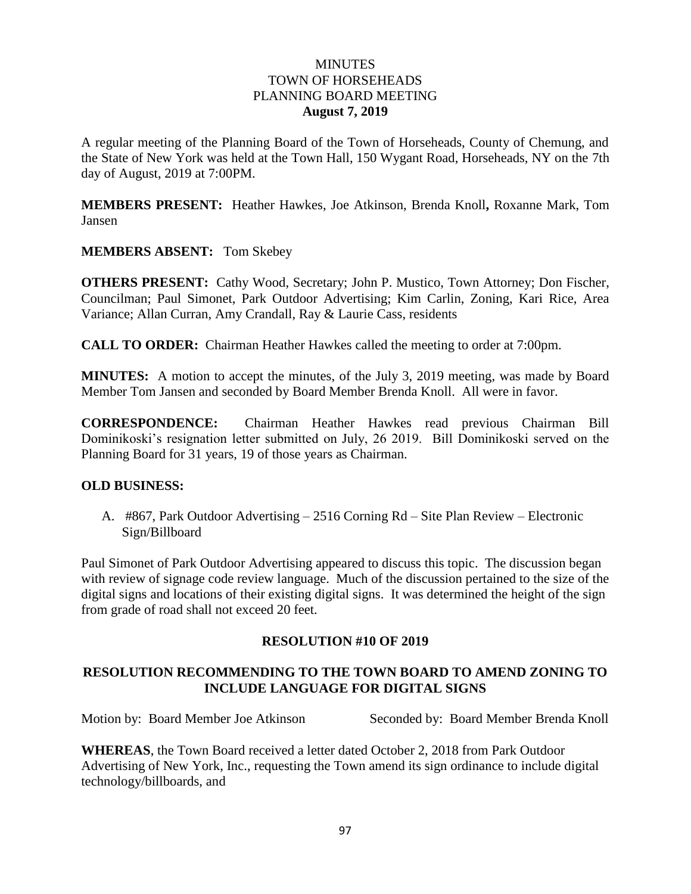### **MINUTES** TOWN OF HORSEHEADS PLANNING BOARD MEETING **August 7, 2019**

A regular meeting of the Planning Board of the Town of Horseheads, County of Chemung, and the State of New York was held at the Town Hall, 150 Wygant Road, Horseheads, NY on the 7th day of August, 2019 at 7:00PM.

**MEMBERS PRESENT:** Heather Hawkes, Joe Atkinson, Brenda Knoll**,** Roxanne Mark, Tom Jansen

**MEMBERS ABSENT:** Tom Skebey

**OTHERS PRESENT:** Cathy Wood, Secretary; John P. Mustico, Town Attorney; Don Fischer, Councilman; Paul Simonet, Park Outdoor Advertising; Kim Carlin, Zoning, Kari Rice, Area Variance; Allan Curran, Amy Crandall, Ray & Laurie Cass, residents

**CALL TO ORDER:** Chairman Heather Hawkes called the meeting to order at 7:00pm.

**MINUTES:** A motion to accept the minutes, of the July 3, 2019 meeting, was made by Board Member Tom Jansen and seconded by Board Member Brenda Knoll. All were in favor.

**CORRESPONDENCE:** Chairman Heather Hawkes read previous Chairman Bill Dominikoski's resignation letter submitted on July, 26 2019. Bill Dominikoski served on the Planning Board for 31 years, 19 of those years as Chairman.

#### **OLD BUSINESS:**

A. #867, Park Outdoor Advertising – 2516 Corning Rd – Site Plan Review – Electronic Sign/Billboard

Paul Simonet of Park Outdoor Advertising appeared to discuss this topic. The discussion began with review of signage code review language. Much of the discussion pertained to the size of the digital signs and locations of their existing digital signs. It was determined the height of the sign from grade of road shall not exceed 20 feet.

#### **RESOLUTION #10 OF 2019**

# **RESOLUTION RECOMMENDING TO THE TOWN BOARD TO AMEND ZONING TO INCLUDE LANGUAGE FOR DIGITAL SIGNS**

Motion by: Board Member Joe Atkinson Seconded by: Board Member Brenda Knoll

**WHEREAS**, the Town Board received a letter dated October 2, 2018 from Park Outdoor Advertising of New York, Inc., requesting the Town amend its sign ordinance to include digital technology/billboards, and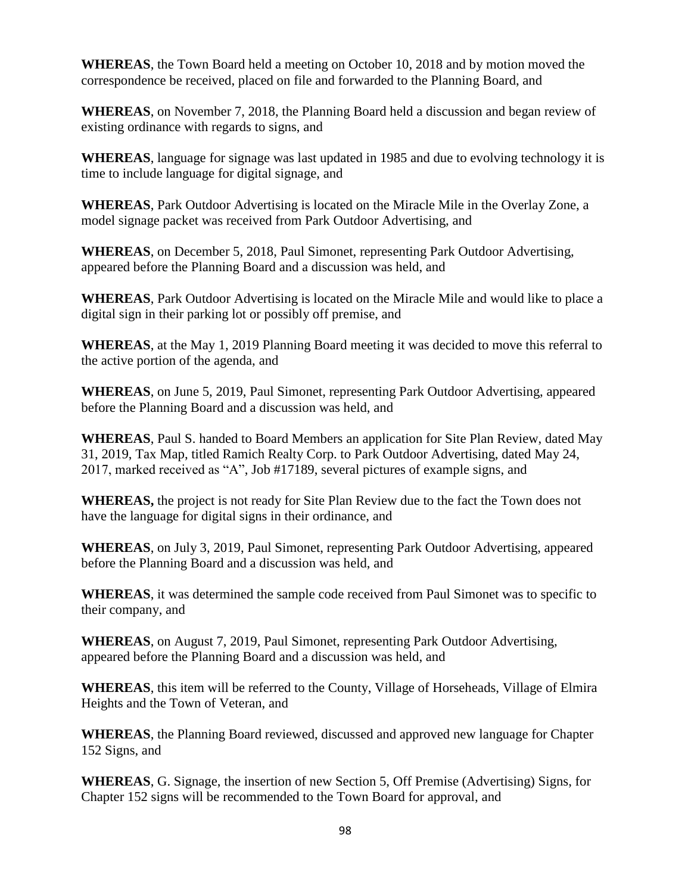**WHEREAS**, the Town Board held a meeting on October 10, 2018 and by motion moved the correspondence be received, placed on file and forwarded to the Planning Board, and

**WHEREAS**, on November 7, 2018, the Planning Board held a discussion and began review of existing ordinance with regards to signs, and

**WHEREAS**, language for signage was last updated in 1985 and due to evolving technology it is time to include language for digital signage, and

**WHEREAS**, Park Outdoor Advertising is located on the Miracle Mile in the Overlay Zone, a model signage packet was received from Park Outdoor Advertising, and

**WHEREAS**, on December 5, 2018, Paul Simonet, representing Park Outdoor Advertising, appeared before the Planning Board and a discussion was held, and

**WHEREAS**, Park Outdoor Advertising is located on the Miracle Mile and would like to place a digital sign in their parking lot or possibly off premise, and

**WHEREAS**, at the May 1, 2019 Planning Board meeting it was decided to move this referral to the active portion of the agenda, and

**WHEREAS**, on June 5, 2019, Paul Simonet, representing Park Outdoor Advertising, appeared before the Planning Board and a discussion was held, and

**WHEREAS**, Paul S. handed to Board Members an application for Site Plan Review, dated May 31, 2019, Tax Map, titled Ramich Realty Corp. to Park Outdoor Advertising, dated May 24, 2017, marked received as "A", Job #17189, several pictures of example signs, and

**WHEREAS,** the project is not ready for Site Plan Review due to the fact the Town does not have the language for digital signs in their ordinance, and

**WHEREAS**, on July 3, 2019, Paul Simonet, representing Park Outdoor Advertising, appeared before the Planning Board and a discussion was held, and

**WHEREAS**, it was determined the sample code received from Paul Simonet was to specific to their company, and

**WHEREAS**, on August 7, 2019, Paul Simonet, representing Park Outdoor Advertising, appeared before the Planning Board and a discussion was held, and

**WHEREAS**, this item will be referred to the County, Village of Horseheads, Village of Elmira Heights and the Town of Veteran, and

**WHEREAS**, the Planning Board reviewed, discussed and approved new language for Chapter 152 Signs, and

**WHEREAS**, G. Signage, the insertion of new Section 5, Off Premise (Advertising) Signs, for Chapter 152 signs will be recommended to the Town Board for approval, and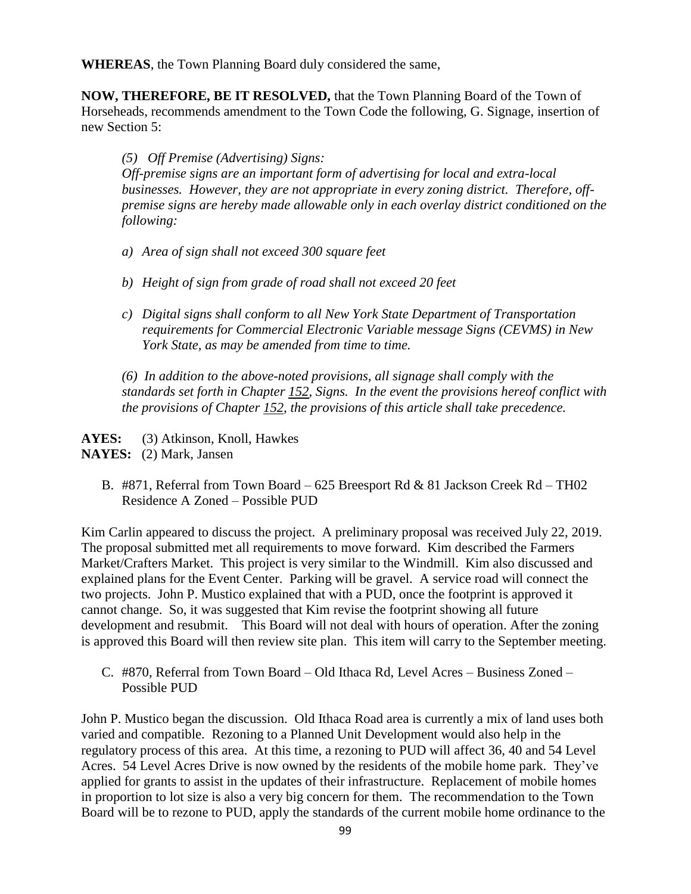**WHEREAS**, the Town Planning Board duly considered the same,

**NOW, THEREFORE, BE IT RESOLVED,** that the Town Planning Board of the Town of Horseheads, recommends amendment to the Town Code the following, G. Signage, insertion of new Section 5:

*(5) Off Premise (Advertising) Signs:*

*Off-premise signs are an important form of advertising for local and extra-local businesses. However, they are not appropriate in every zoning district. Therefore, offpremise signs are hereby made allowable only in each overlay district conditioned on the following:*

- *a) Area of sign shall not exceed 300 square feet*
- *b) Height of sign from grade of road shall not exceed 20 feet*
- *c) Digital signs shall conform to all New York State Department of Transportation requirements for Commercial Electronic Variable message Signs (CEVMS) in New York State, as may be amended from time to time.*

*(6) In addition to the above-noted provisions, all signage shall comply with the standards set forth in Chapter 152, Signs. In the event the provisions hereof conflict with the provisions of Chapter 152, the provisions of this article shall take precedence.*

AYES: (3) Atkinson, Knoll, Hawkes **NAYES:** (2) Mark, Jansen

B. #871, Referral from Town Board – 625 Breesport Rd & 81 Jackson Creek Rd – TH02 Residence A Zoned – Possible PUD

Kim Carlin appeared to discuss the project. A preliminary proposal was received July 22, 2019. The proposal submitted met all requirements to move forward. Kim described the Farmers Market/Crafters Market. This project is very similar to the Windmill. Kim also discussed and explained plans for the Event Center. Parking will be gravel. A service road will connect the two projects. John P. Mustico explained that with a PUD, once the footprint is approved it cannot change. So, it was suggested that Kim revise the footprint showing all future development and resubmit. This Board will not deal with hours of operation. After the zoning is approved this Board will then review site plan. This item will carry to the September meeting.

C. #870, Referral from Town Board – Old Ithaca Rd, Level Acres – Business Zoned – Possible PUD

John P. Mustico began the discussion. Old Ithaca Road area is currently a mix of land uses both varied and compatible. Rezoning to a Planned Unit Development would also help in the regulatory process of this area. At this time, a rezoning to PUD will affect 36, 40 and 54 Level Acres. 54 Level Acres Drive is now owned by the residents of the mobile home park. They've applied for grants to assist in the updates of their infrastructure. Replacement of mobile homes in proportion to lot size is also a very big concern for them. The recommendation to the Town Board will be to rezone to PUD, apply the standards of the current mobile home ordinance to the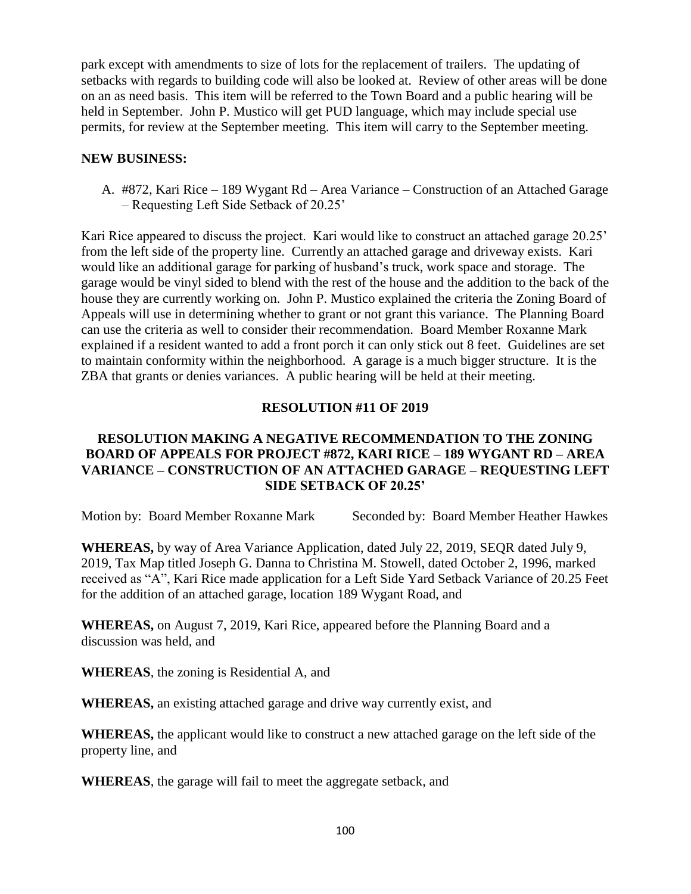park except with amendments to size of lots for the replacement of trailers. The updating of setbacks with regards to building code will also be looked at. Review of other areas will be done on an as need basis. This item will be referred to the Town Board and a public hearing will be held in September. John P. Mustico will get PUD language, which may include special use permits, for review at the September meeting. This item will carry to the September meeting.

#### **NEW BUSINESS:**

A. #872, Kari Rice – 189 Wygant Rd – Area Variance – Construction of an Attached Garage – Requesting Left Side Setback of 20.25'

Kari Rice appeared to discuss the project. Kari would like to construct an attached garage 20.25' from the left side of the property line. Currently an attached garage and driveway exists. Kari would like an additional garage for parking of husband's truck, work space and storage. The garage would be vinyl sided to blend with the rest of the house and the addition to the back of the house they are currently working on. John P. Mustico explained the criteria the Zoning Board of Appeals will use in determining whether to grant or not grant this variance. The Planning Board can use the criteria as well to consider their recommendation. Board Member Roxanne Mark explained if a resident wanted to add a front porch it can only stick out 8 feet. Guidelines are set to maintain conformity within the neighborhood. A garage is a much bigger structure. It is the ZBA that grants or denies variances. A public hearing will be held at their meeting.

#### **RESOLUTION #11 OF 2019**

# **RESOLUTION MAKING A NEGATIVE RECOMMENDATION TO THE ZONING BOARD OF APPEALS FOR PROJECT #872, KARI RICE – 189 WYGANT RD – AREA VARIANCE – CONSTRUCTION OF AN ATTACHED GARAGE – REQUESTING LEFT SIDE SETBACK OF 20.25'**

Motion by: Board Member Roxanne Mark Seconded by: Board Member Heather Hawkes

**WHEREAS,** by way of Area Variance Application, dated July 22, 2019, SEQR dated July 9, 2019, Tax Map titled Joseph G. Danna to Christina M. Stowell, dated October 2, 1996, marked received as "A", Kari Rice made application for a Left Side Yard Setback Variance of 20.25 Feet for the addition of an attached garage, location 189 Wygant Road, and

**WHEREAS,** on August 7, 2019, Kari Rice, appeared before the Planning Board and a discussion was held, and

**WHEREAS**, the zoning is Residential A, and

**WHEREAS,** an existing attached garage and drive way currently exist, and

**WHEREAS,** the applicant would like to construct a new attached garage on the left side of the property line, and

**WHEREAS**, the garage will fail to meet the aggregate setback, and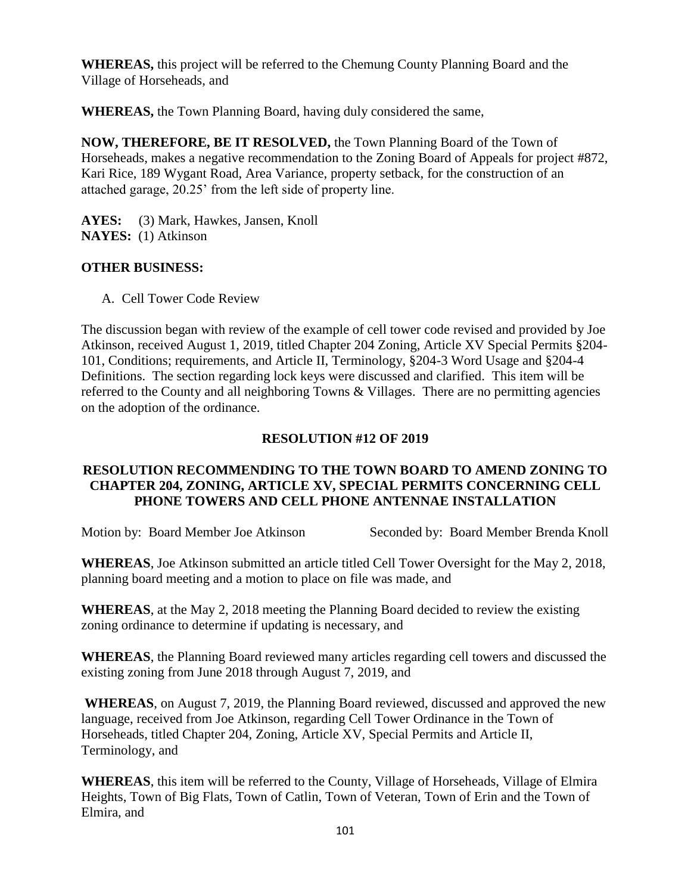**WHEREAS,** this project will be referred to the Chemung County Planning Board and the Village of Horseheads, and

**WHEREAS,** the Town Planning Board, having duly considered the same,

**NOW, THEREFORE, BE IT RESOLVED,** the Town Planning Board of the Town of Horseheads, makes a negative recommendation to the Zoning Board of Appeals for project #872, Kari Rice, 189 Wygant Road, Area Variance, property setback, for the construction of an attached garage, 20.25' from the left side of property line.

**AYES:** (3) Mark, Hawkes, Jansen, Knoll **NAYES:** (1) Atkinson

# **OTHER BUSINESS:**

A. Cell Tower Code Review

The discussion began with review of the example of cell tower code revised and provided by Joe Atkinson, received August 1, 2019, titled Chapter 204 Zoning, Article XV Special Permits §204- 101, Conditions; requirements, and Article II, Terminology, §204-3 Word Usage and §204-4 Definitions. The section regarding lock keys were discussed and clarified. This item will be referred to the County and all neighboring Towns & Villages. There are no permitting agencies on the adoption of the ordinance.

### **RESOLUTION #12 OF 2019**

### **RESOLUTION RECOMMENDING TO THE TOWN BOARD TO AMEND ZONING TO CHAPTER 204, ZONING, ARTICLE XV, SPECIAL PERMITS CONCERNING CELL PHONE TOWERS AND CELL PHONE ANTENNAE INSTALLATION**

Motion by: Board Member Joe Atkinson Seconded by: Board Member Brenda Knoll

**WHEREAS**, Joe Atkinson submitted an article titled Cell Tower Oversight for the May 2, 2018, planning board meeting and a motion to place on file was made, and

**WHEREAS**, at the May 2, 2018 meeting the Planning Board decided to review the existing zoning ordinance to determine if updating is necessary, and

**WHEREAS**, the Planning Board reviewed many articles regarding cell towers and discussed the existing zoning from June 2018 through August 7, 2019, and

**WHEREAS**, on August 7, 2019, the Planning Board reviewed, discussed and approved the new language, received from Joe Atkinson, regarding Cell Tower Ordinance in the Town of Horseheads, titled Chapter 204, Zoning, Article XV, Special Permits and Article II, Terminology, and

**WHEREAS**, this item will be referred to the County, Village of Horseheads, Village of Elmira Heights, Town of Big Flats, Town of Catlin, Town of Veteran, Town of Erin and the Town of Elmira, and